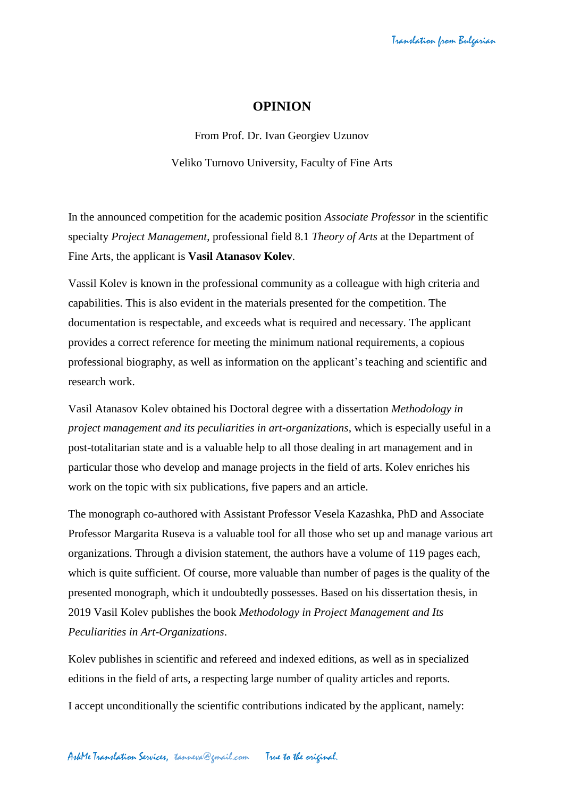## **OPINION**

From Prof. Dr. Ivan Georgiev Uzunov Veliko Turnovo University, Faculty of Fine Arts

In the announced competition for the academic position *Associate Professor* in the scientific specialty *Project Management*, professional field 8.1 *Theory of Arts* at the Department of Fine Arts, the applicant is **Vasil Atanasov Kolev**.

Vassil Kolev is known in the professional community as a colleague with high criteria and capabilities. This is also evident in the materials presented for the competition. The documentation is respectable, and exceeds what is required and necessary. The applicant provides a correct reference for meeting the minimum national requirements, a copious professional biography, as well as information on the applicant's teaching and scientific and research work.

Vasil Atanasov Kolev obtained his Doctoral degree with a dissertation *Methodology in project management and its peculiarities in art-organizations*, which is especially useful in a post-totalitarian state and is a valuable help to all those dealing in art management and in particular those who develop and manage projects in the field of arts. Kolev enriches his work on the topic with six publications, five papers and an article.

The monograph co-authored with Assistant Professor Vesela Kazashka, PhD and Associate Professor Margarita Ruseva is a valuable tool for all those who set up and manage various art organizations. Through a division statement, the authors have a volume of 119 pages each, which is quite sufficient. Of course, more valuable than number of pages is the quality of the presented monograph, which it undoubtedly possesses. Based on his dissertation thesis, in 2019 Vasil Kolev publishes the book *Methodology in Project Management and Its Peculiarities in Art-Organizations*.

Kolev publishes in scientific and refereed and indexed editions, as well as in specialized editions in the field of arts, a respecting large number of quality articles and reports.

I accept unconditionally the scientific contributions indicated by the applicant, namely: